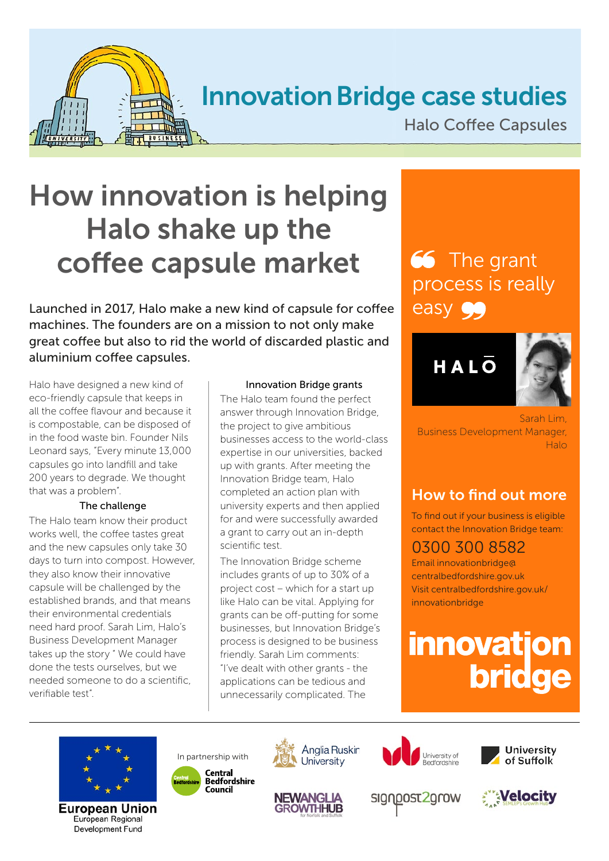

## Innovation Bridge case studies

Halo Coffee Capsules

# How innovation is helping Halo shake up the coffee capsule market

Launched in 2017, Halo make a new kind of capsule for coffee machines. The founders are on a mission to not only make great coffee but also to rid the world of discarded plastic and aluminium coffee capsules.

Halo have designed a new kind of eco-friendly capsule that keeps in all the coffee flavour and because it is compostable, can be disposed of in the food waste bin. Founder Nils Leonard says, "Every minute 13,000 capsules go into landfill and take 200 years to degrade. We thought that was a problem".

#### The challenge

The Halo team know their product works well, the coffee tastes great and the new capsules only take 30 days to turn into compost. However, they also know their innovative capsule will be challenged by the established brands, and that means their environmental credentials need hard proof. Sarah Lim, Halo's Business Development Manager takes up the story " We could have done the tests ourselves, but we needed someone to do a scientific, verifiable test".

#### Innovation Bridge grants

The Halo team found the perfect answer through Innovation Bridge, the project to give ambitious businesses access to the world-class expertise in our universities, backed up with grants. After meeting the Innovation Bridge team, Halo completed an action plan with university experts and then applied for and were successfully awarded a grant to carry out an in-depth scientific test.

The Innovation Bridge scheme includes grants of up to 30% of a project cost – which for a start up like Halo can be vital. Applying for grants can be off-putting for some businesses, but Innovation Bridge's process is designed to be business friendly. Sarah Lim comments: "I've dealt with other grants - the applications can be tedious and unnecessarily complicated. The

## 66 The grant process is really easy 99

## HALO



Sarah Lim, Business Development Manager,  $H$ alo

## How to find out more

To find out if your business is eligible contact the Innovation Bridge team:

## 0300 300 8582

Email innovationbridge@ centralbedfordshire.gov.uk Visit centralbedfordshire.gov.uk/ innovationbridge

# **innovation bridge**



**European Union** European Regional Development Fund









signpost2grow